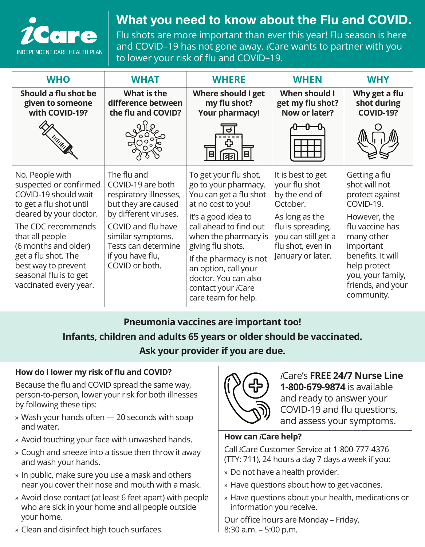

## What you need to know about the Flu and COVID.

Flu shots are more important than ever this year! Flu season is here and COVID–19 has not gone away. *i*Care wants to partner with you to lower your risk of flu and COVID–19.

| <b>WHO</b>                                                                                                                                                                                                                                                                                 | <b>WHAT</b>                                                                                                                                                                                                        | <b>WHERE</b>                                                                                                                                                                                                                                                                                                               | <b>WHEN</b>                                                                                                                                                             | <b>WHY</b>                                                                                                                                                                                                                |
|--------------------------------------------------------------------------------------------------------------------------------------------------------------------------------------------------------------------------------------------------------------------------------------------|--------------------------------------------------------------------------------------------------------------------------------------------------------------------------------------------------------------------|----------------------------------------------------------------------------------------------------------------------------------------------------------------------------------------------------------------------------------------------------------------------------------------------------------------------------|-------------------------------------------------------------------------------------------------------------------------------------------------------------------------|---------------------------------------------------------------------------------------------------------------------------------------------------------------------------------------------------------------------------|
| Should a flu shot be<br>given to someone<br>with COVID-19?                                                                                                                                                                                                                                 | What is the<br>difference between<br>the flu and COVID?                                                                                                                                                            | Where should I get<br>my flu shot?<br><b>Your pharmacy!</b>                                                                                                                                                                                                                                                                | When should I<br>get my flu shot?<br>Now or later?                                                                                                                      | Why get a flu<br>shot during<br><b>COVID-19?</b>                                                                                                                                                                          |
|                                                                                                                                                                                                                                                                                            |                                                                                                                                                                                                                    |                                                                                                                                                                                                                                                                                                                            |                                                                                                                                                                         |                                                                                                                                                                                                                           |
| No. People with<br>suspected or confirmed<br>COVID-19 should wait<br>to get a flu shot until<br>cleared by your doctor.<br>The CDC recommends<br>that all people<br>(6 months and older)<br>get a flu shot. The<br>best way to prevent<br>seasonal flu is to get<br>vaccinated every year. | The flu and<br>COVID-19 are both<br>respiratory illnesses,<br>but they are caused<br>by different viruses.<br>COVID and flu have<br>similar symptoms.<br>Tests can determine<br>if you have flu,<br>COVID or both. | To get your flu shot,<br>go to your pharmacy.<br>You can get a flu shot<br>at no cost to you!<br>It's a good idea to<br>call ahead to find out<br>when the pharmacy is<br>giving flu shots.<br>If the pharmacy is not<br>an option, call your<br>doctor. You can also<br>contact your <i>i</i> Care<br>care team for help. | It is best to get<br>your flu shot<br>by the end of<br>October.<br>As long as the<br>flu is spreading,<br>you can still get a<br>flu shot, even in<br>January or later. | Getting a flu<br>shot will not<br>protect against<br>COVID-19.<br>However, the<br>flu vaccine has<br>many other<br>important<br>benefits. It will<br>help protect<br>you, your family,<br>friends, and your<br>community. |

## **Pneumonia vaccines are important too! Infants, children and adults 65 years or older should be vaccinated. Ask your provider if you are due.**

## **How do I lower my risk of flu and COVID?**

Because the flu and COVID spread the same way, person-to-person, lower your risk for both illnesses by following these tips:

- » Wash your hands often 20 seconds with soap and water.
- » Avoid touching your face with unwashed hands.
- » Cough and sneeze into a tissue then throw it away and wash your hands.
- » In public, make sure you use a mask and others near you cover their nose and mouth with a mask.
- » Avoid close contact (at least 6 feet apart) with people who are sick in your home and all people outside your home.
- » Clean and disinfect high touch surfaces.



*i*Care's **FREE 24/7 Nurse Line 1-800-679-9874** is available and ready to answer your COVID-19 and flu questions, and assess your symptoms.

## **How can** *i***Care help?**

Call *i*Care Customer Service at 1-800-777-4376 (TTY: 711), 24 hours a day 7 days a week if you:

- » Do not have a health provider.
- » Have questions about how to get vaccines.
- » Have questions about your health, medications or information you receive.

Our office hours are Monday – Friday, 8:30 a.m. – 5:00 p.m.